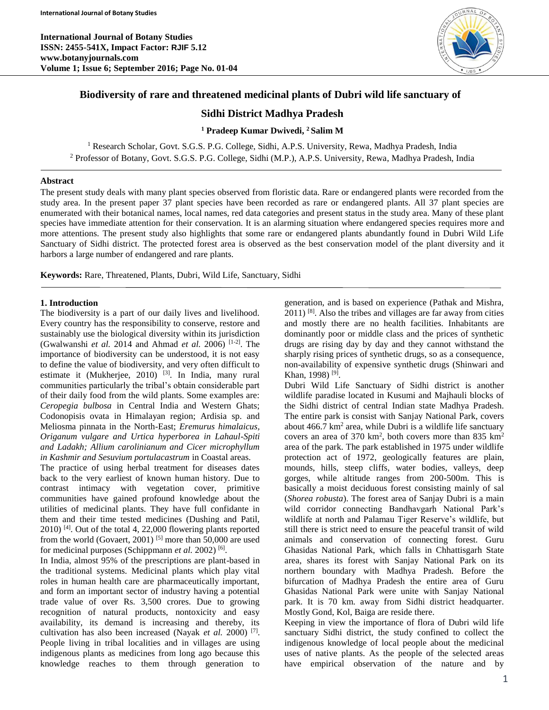

# **Biodiversity of rare and threatened medicinal plants of Dubri wild life sanctuary of**

# **Sidhi District Madhya Pradesh**

## **<sup>1</sup> Pradeep Kumar Dwivedi, <sup>2</sup> Salim M**

<sup>1</sup> Research Scholar, Govt. S.G.S. P.G. College, Sidhi, A.P.S. University, Rewa, Madhya Pradesh, India <sup>2</sup> Professor of Botany, Govt. S.G.S. P.G. College, Sidhi (M.P.), A.P.S. University, Rewa, Madhya Pradesh, India

#### **Abstract**

The present study deals with many plant species observed from floristic data. Rare or endangered plants were recorded from the study area. In the present paper 37 plant species have been recorded as rare or endangered plants. All 37 plant species are enumerated with their botanical names, local names, red data categories and present status in the study area. Many of these plant species have immediate attention for their conservation. It is an alarming situation where endangered species requires more and more attentions. The present study also highlights that some rare or endangered plants abundantly found in Dubri Wild Life Sanctuary of Sidhi district. The protected forest area is observed as the best conservation model of the plant diversity and it harbors a large number of endangered and rare plants.

**Keywords:** Rare, Threatened, Plants, Dubri, Wild Life, Sanctuary, Sidhi

### **1. Introduction**

The biodiversity is a part of our daily lives and livelihood. Every country has the responsibility to conserve, restore and sustainably use the biological diversity within its jurisdiction (Gwalwanshi *et al.* 2014 and Ahmad *et al.* 2006) [1-2]. The importance of biodiversity can be understood, it is not easy to define the value of biodiversity, and very often difficult to estimate it (Mukherjee, 2010)<sup>[3]</sup>. In India, many rural communities particularly the tribal's obtain considerable part of their daily food from the wild plants. Some examples are: *Ceropegia bulbosa* in Central India and Western Ghats; Codonopisis ovata in Himalayan region; Ardisia sp. and Meliosma pinnata in the North-East; *Eremurus himalaicus, Origanum vulgare and Urtica hyperborea in Lahaul-Spiti and Ladakh; Allium carolinianum and Cicer microphyllum in Kashmir and Sesuvium portulacastrum* in Coastal areas.

The practice of using herbal treatment for diseases dates back to the very earliest of known human history. Due to contrast intimacy with vegetation cover, primitive communities have gained profound knowledge about the utilities of medicinal plants. They have full confidante in them and their time tested medicines (Dushing and Patil, 2010) [4]. Out of the total 4, 22,000 flowering plants reported from the world (Govaert, 2001)<sup>[5]</sup> more than 50,000 are used for medicinal purposes (Schippmann et al. 2002)<sup>[6]</sup>.

In India, almost 95% of the prescriptions are plant-based in the traditional systems. Medicinal plants which play vital roles in human health care are pharmaceutically important, and form an important sector of industry having a potential trade value of over Rs. 3,500 crores. Due to growing recognition of natural products, nontoxicity and easy availability, its demand is increasing and thereby, its cultivation has also been increased (Nayak *et al.* 2000) [7] . People living in tribal localities and in villages are using indigenous plants as medicines from long ago because this knowledge reaches to them through generation to

generation, and is based on experience (Pathak and Mishra,  $2011$ ) <sup>[8]</sup>. Also the tribes and villages are far away from cities and mostly there are no health facilities. Inhabitants are dominantly poor or middle class and the prices of synthetic drugs are rising day by day and they cannot withstand the sharply rising prices of synthetic drugs, so as a consequence, non-availability of expensive synthetic drugs (Shinwari and Khan, 1998)<sup>[9]</sup>.

Dubri Wild Life Sanctuary of Sidhi district is another wildlife paradise located in Kusumi and Majhauli blocks of the Sidhi district of central Indian state Madhya Pradesh. The entire park is consist with Sanjay National Park, covers about  $466.7 \text{ km}^2$  area, while Dubri is a wildlife life sanctuary covers an area of  $370 \text{ km}^2$ , both covers more than  $835 \text{ km}^2$ area of the park. The park established in 1975 under wildlife protection act of 1972, geologically features are plain, mounds, hills, steep cliffs, water bodies, valleys, deep gorges, while altitude ranges from 200-500m. This is basically a moist deciduous forest consisting mainly of sal (*Shorea robusta*). The forest area of Sanjay Dubri is a main wild corridor connecting Bandhavgarh National Park's wildlife at north and Palamau Tiger Reserve's wildlife, but still there is strict need to ensure the peaceful transit of wild animals and conservation of connecting forest. Guru Ghasidas National Park, which falls in Chhattisgarh State area, shares its forest with Sanjay National Park on its northern boundary with Madhya Pradesh. Before the bifurcation of Madhya Pradesh the entire area of Guru Ghasidas National Park were unite with Sanjay National park. It is 70 km. away from Sidhi district headquarter. Mostly Gond, Kol, Baiga are reside there.

Keeping in view the importance of flora of Dubri wild life sanctuary Sidhi district, the study confined to collect the indigenous knowledge of local people about the medicinal uses of native plants. As the people of the selected areas have empirical observation of the nature and by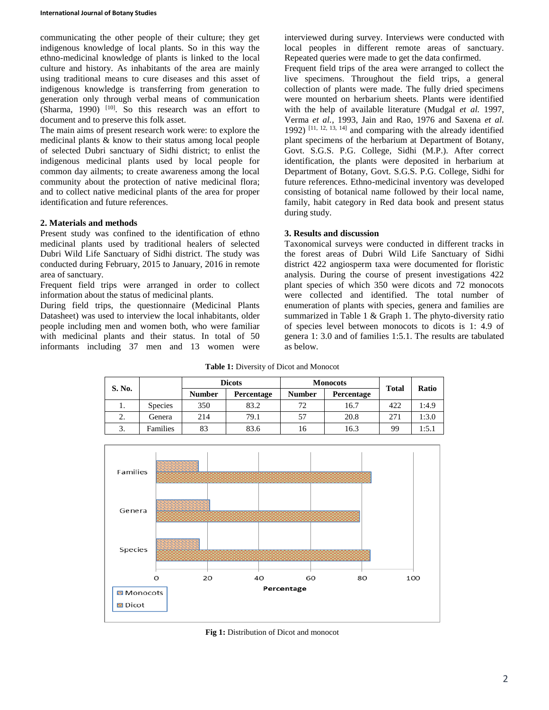communicating the other people of their culture; they get indigenous knowledge of local plants. So in this way the ethno-medicinal knowledge of plants is linked to the local culture and history. As inhabitants of the area are mainly using traditional means to cure diseases and this asset of indigenous knowledge is transferring from generation to generation only through verbal means of communication  $(Sharma, 1990)$ <sup>[10]</sup>. So this research was an effort to document and to preserve this folk asset.

The main aims of present research work were: to explore the medicinal plants & know to their status among local people of selected Dubri sanctuary of Sidhi district; to enlist the indigenous medicinal plants used by local people for common day ailments; to create awareness among the local community about the protection of native medicinal flora; and to collect native medicinal plants of the area for proper identification and future references.

### **2. Materials and methods**

Present study was confined to the identification of ethno medicinal plants used by traditional healers of selected Dubri Wild Life Sanctuary of Sidhi district. The study was conducted during February, 2015 to January, 2016 in remote area of sanctuary.

Frequent field trips were arranged in order to collect information about the status of medicinal plants.

During field trips, the questionnaire (Medicinal Plants Datasheet) was used to interview the local inhabitants, older people including men and women both, who were familiar with medicinal plants and their status. In total of 50 informants including 37 men and 13 women were

interviewed during survey. Interviews were conducted with local peoples in different remote areas of sanctuary. Repeated queries were made to get the data confirmed.

Frequent field trips of the area were arranged to collect the live specimens. Throughout the field trips, a general collection of plants were made. The fully dried specimens were mounted on herbarium sheets. Plants were identified with the help of available literature (Mudgal *et al.* 1997, Verma *et al.*, 1993, Jain and Rao, 1976 and Saxena *et al.* 1992)  $[11, 12, 13, 14]$  and comparing with the already identified plant specimens of the herbarium at Department of Botany, Govt. S.G.S. P.G. College, Sidhi (M.P.). After correct identification, the plants were deposited in herbarium at Department of Botany, Govt. S.G.S. P.G. College, Sidhi for future references. Ethno-medicinal inventory was developed consisting of botanical name followed by their local name, family, habit category in Red data book and present status during study.

## **3. Results and discussion**

Taxonomical surveys were conducted in different tracks in the forest areas of Dubri Wild Life Sanctuary of Sidhi district 422 angiosperm taxa were documented for floristic analysis. During the course of present investigations 422 plant species of which 350 were dicots and 72 monocots were collected and identified. The total number of enumeration of plants with species, genera and families are summarized in Table 1 & Graph 1. The phyto-diversity ratio of species level between monocots to dicots is 1: 4.9 of genera 1: 3.0 and of families 1:5.1. The results are tabulated as below.

**Table 1:** Diversity of Dicot and Monocot

| S. No. |                | <b>Dicots</b> |            |               | <b>Monocots</b> | <b>Total</b> | Ratio |
|--------|----------------|---------------|------------|---------------|-----------------|--------------|-------|
|        |                | <b>Number</b> | Percentage | <b>Number</b> | Percentage      |              |       |
| ī.     | <b>Species</b> | 350           | 83.2       | 72            | 16.7            | 422          | 1:4.9 |
| 2.     | Genera         | 214           | 79.1       | 57            | 20.8            | 271          | 1:3.0 |
| 3.     | Families       | 83            | 83.6       | 16            | 16.3            | 99           | 1:5.1 |



**Fig 1:** Distribution of Dicot and monocot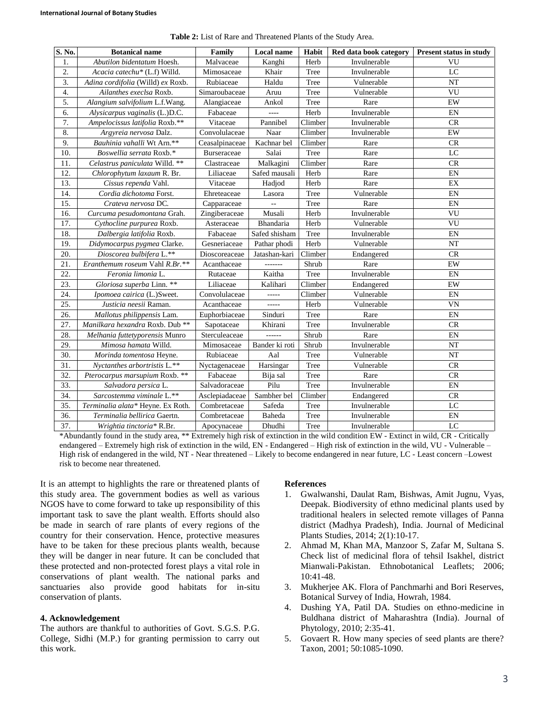| S. No.           | <b>Botanical name</b>             | Family         | Local name     | Habit   | Red data book category | <b>Present status in study</b> |
|------------------|-----------------------------------|----------------|----------------|---------|------------------------|--------------------------------|
| 1.               | Abutilon bidentatum Hoesh.        | Malvaceae      | Kanghi         | Herb    | Invulnerable           | VU                             |
| 2.               | Acacia catechu* (L.f) Willd.      | Mimosaceae     | Khair          | Tree    | Invulnerable           | LC                             |
| $\overline{3}$ . | Adina cordifolia (Willd) ex Roxb. | Rubiaceae      | Haldu          | Tree    | Vulnerable             | NT                             |
| $\overline{4}$ . | Ailanthes execlsa Roxb.           | Simaroubaceae  | Aruu           | Tree    | Vulnerable             | VU                             |
| 5.               | Alangium salvifolium L.f.Wang.    | Alangiaceae    | Ankol          | Tree    | Rare                   | EW                             |
| 6.               | Alysicarpus vaginalis (L.)D.C.    | Fabaceae       |                | Herb    | Invulnerable           | EN                             |
| 7.               | Ampelocissus latifolia Roxb.**    | Vitaceae       | Pannibel       | Climber | Invulnerable           | CR                             |
| 8.               | Argyreia nervosa Dalz.            | Convolulaceae  | Naar           | Climber | Invulnerable           | EW                             |
| 9.               | Bauhinia vahalli Wt Arn.**        | Ceasalpinaceae | Kachnar bel    | Climber | Rare                   | CR                             |
| 10.              | Boswellia serrata Roxb.*          | Burseraceae    | Salai          | Tree    | Rare                   | LC                             |
| 11.              | Celastrus paniculata Willd. **    | Clastraceae    | Malkagini      | Climber | Rare                   | CR                             |
| 12.              | Chlorophytum laxaum R. Br.        | Liliaceae      | Safed mausali  | Herb    | Rare                   | EN                             |
| 13.              | Cissus rependa Vahl.              | Vitaceae       | Hadjod         | Herb    | Rare                   | EX                             |
| 14.              | Cordia dichotoma Forst.           | Ehreteaceae    | Lasora         | Tree    | Vulnerable             | EN                             |
| 15.              | Crateva nervosa DC.               | Capparaceae    |                | Tree    | Rare                   | EN                             |
| 16.              | Curcuma pesudomontana Grah.       | Zingiberaceae  | Musali         | Herb    | Invulnerable           | VU                             |
| 17.              | Cythocline purpurea Roxb.         | Asteraceae     | Bhandaria      | Herb    | Vulnerable             | VU                             |
| 18.              | Dalbergia latifolia Roxb.         | Fabaceae       | Safed shisham  | Tree    | Invulnerable           | EN                             |
| 19.              | Didymocarpus pygmea Clarke.       | Gesneriaceae   | Pathar phodi   | Herb    | Vulnerable             | <b>NT</b>                      |
| 20.              | Dioscorea bulbifera L.**          | Dioscoreaceae  | Jatashan-kari  | Climber | Endangered             | CR                             |
| 21.              | Eranthemum roseum Vahl R.Br.**    | Acanthaceae    | -------        | Shrub   | Rare                   | EW                             |
| 22.              | Feronia limonia L.                | Rutaceae       | Kaitha         | Tree    | Invulnerable           | EN                             |
| 23.              | Gloriosa superba Linn. **         | Liliaceae      | Kalihari       | Climber | Endangered             | EW                             |
| 24.              | Ipomoea cairica (L.)Sweet.        | Convolulaceae  | -----          | Climber | Vulnerable             | EN                             |
| 25.              | Justicia neesii Raman.            | Acanthaceae    | -----          | Herb    | Vulnerable             | <b>VN</b>                      |
| 26.              | Mallotus philippensis Lam.        | Euphorbiaceae  | Sinduri        | Tree    | Rare                   | EN                             |
| 27.              | Manilkara hexandra Roxb. Dub **   | Sapotaceae     | Khirani        | Tree    | Invulnerable           | CR                             |
| 28.              | Melhania futtetyporensis Munro    | Sterculeaceae  |                | Shrub   | Rare                   | $\mathop{\rm EN}\nolimits$     |
| 29.              | Mimosa hamata Willd.              | Mimosaceae     | Bander ki roti | Shrub   | Invulnerable           | <b>NT</b>                      |
| 30.              | Morinda tomentosa Heyne.          | Rubiaceae      | Aal            | Tree    | Vulnerable             | <b>NT</b>                      |
| 31.              | Nyctanthes arbortristis L.**      | Nyctagenaceae  | Harsingar      | Tree    | Vulnerable             | CR                             |
| 32.              | Pterocarpus marsupium Roxb. **    | Fabaceae       | Bija sal       | Tree    | Rare                   | CR                             |
| 33.              | Salvadora persica L.              | Salvadoraceae  | Pilu           | Tree    | Invulnerable           | EN                             |
| 34.              | Sarcostemma viminale L.**         | Asclepiadaceae | Sambher bel    | Climber | Endangered             | CR                             |
| 35.              | Terminalia alata* Heyne. Ex Roth. | Combretaceae   | Safeda         | Tree    | Invulnerable           | LC                             |
| 36.              | Terminalia bellirica Gaertn.      | Combretaceae   | Baheda         | Tree    | Invulnerable           | EN                             |
| 37.              | Wrightia tinctoria* R.Br.         | Apocynaceae    | Dhudhi         | Tree    | Invulnerable           | LC                             |

**Table 2:** List of Rare and Threatened Plants of the Study Area.

\*Abundantly found in the study area, \*\* Extremely high risk of extinction in the wild condition EW - Extinct in wild, CR - Critically endangered – Extremely high risk of extinction in the wild, EN - Endangered – High risk of extinction in the wild, VU - Vulnerable – High risk of endangered in the wild, NT - Near threatened – Likely to become endangered in near future, LC - Least concern –Lowest risk to become near threatened.

It is an attempt to highlights the rare or threatened plants of this study area. The government bodies as well as various NGOS have to come forward to take up responsibility of this important task to save the plant wealth. Efforts should also be made in search of rare plants of every regions of the country for their conservation. Hence, protective measures have to be taken for these precious plants wealth, because they will be danger in near future. It can be concluded that these protected and non-protected forest plays a vital role in conservations of plant wealth. The national parks and sanctuaries also provide good habitats for in-situ conservation of plants.

#### **4. Acknowledgement**

The authors are thankful to authorities of Govt. S.G.S. P.G. College, Sidhi (M.P.) for granting permission to carry out this work.

### **References**

- 1. Gwalwanshi, Daulat Ram, Bishwas, Amit Jugnu, Vyas, Deepak. Biodiversity of ethno medicinal plants used by traditional healers in selected remote villages of Panna district (Madhya Pradesh), India. Journal of Medicinal Plants Studies, 2014; 2(1):10-17.
- 2. Ahmad M, Khan MA, Manzoor S, Zafar M, Sultana S. Check list of medicinal flora of tehsil Isakhel, district Mianwali-Pakistan. Ethnobotanical Leaflets; 2006; 10:41-48.
- 3. Mukherjee AK. Flora of Panchmarhi and Bori Reserves, Botanical Survey of India, Howrah, 1984.
- 4. Dushing YA, Patil DA. Studies on ethno-medicine in Buldhana district of Maharashtra (India). Journal of Phytology, 2010; 2:35-41.
- 5. Govaert R. How many species of seed plants are there? Taxon, 2001; 50:1085-1090.